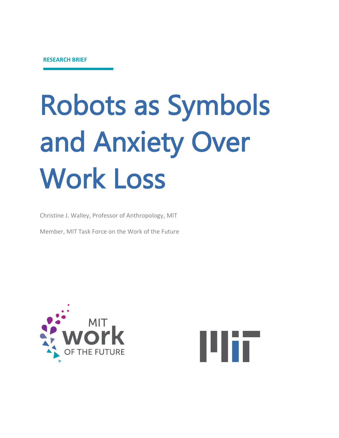# Robots as Symbols and Anxiety Over Work Loss

Christine J. Walley, Professor of Anthropology, MIT

Member, MIT Task Force on the Work of the Future



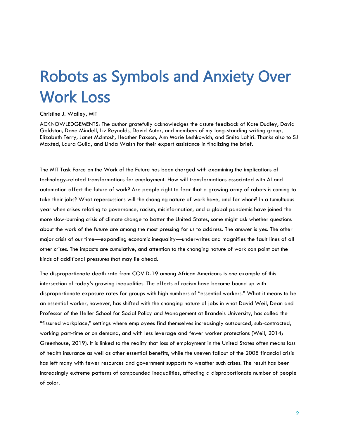# Robots as Symbols and Anxiety Over Work Loss

#### Christine J. Walley, MIT

ACKNOWLEDGEMENTS: The author gratefully acknowledges the astute feedback of Kate Dudley, David Goldston, Dave Mindell, Liz Reynolds, David Autor, and members of my long-standing writing group, Elizabeth Ferry, Janet McIntosh, Heather Paxson, Ann Marie Leshkowich, and Smita Lahiri. Thanks also to SJ Maxted, Laura Guild, and Linda Walsh for their expert assistance in finalizing the brief.

The MIT Task Force on the Work of the Future has been charged with examining the implications of technology-related transformations for employment. How will transformations associated with AI and automation affect the future of work? Are people right to fear that a growing army of robots is coming to take their jobs? What repercussions will the changing nature of work have, and for whom? In a tumultuous year when crises relating to governance, racism, misinformation, and a global pandemic have joined the more slow-burning crisis of climate change to batter the United States, some might ask whether questions about the work of the future are among the most pressing for us to address. The answer is yes. The other major crisis of our time—expanding economic inequality—underwrites and magnifies the fault lines of all other crises. The impacts are cumulative, and attention to the changing nature of work can point out the kinds of additional pressures that may lie ahead.

The disproportionate death rate from COVID-19 among African Americans is one example of this intersection of today's growing inequalities. The effects of racism have become bound up with disproportionate exposure rates for groups with high numbers of "essential workers." What it means to be an essential worker, however, has shifted with the changing nature of jobs in what David Weil, Dean and Professor of the Heller School for Social Policy and Management at Brandeis University, has called the "fissured workplace," settings where employees find themselves increasingly outsourced, sub-contracted, working part-time or on demand, and with less leverage and fewer worker protections (Weil, 2014; Greenhouse, 2019). It is linked to the reality that loss of employment in the United States often means loss of health insurance as well as other essential benefits, while the uneven fallout of the 2008 financial crisis has left many with fewer resources and government supports to weather such crises. The result has been increasingly extreme patterns of compounded inequalities, affecting a disproportionate number of people of color.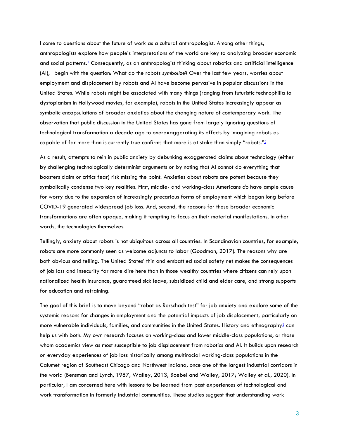I come to questions about the future of work as a cultural anthropologist. Among other things, anthropologists explore how people's interpretations of the world are key to analyzing broader economic and social patterns[.](#page-24-0)<sup>1</sup> Consequently, as an anthropologist thinking about robotics and artificial intelligence (AI), I begin with the question: What do the robots *symbolize*? Over the last few years, worries about employment and displacement by robots and AI have become pervasive in popular discussions in the United States. While robots might be associated with many things (ranging from futuristic technophilia to dystopianism in Hollywood movies, for example), robots in the United States increasingly appear as symbolic encapsulations of broader anxieties about the changing nature of contemporary work. The observation that public discussion in the United States has gone from largely ignoring questions of technological transformation a decade ago to overexaggerating its effects by imagining robots as capable of far more than is currently true confirms that more is at stake than simply ["](#page-24-1)robots."<sup>2</sup>

As a result, attempts to rein in public anxiety by debunking exaggerated claims about technology (either by challenging technologically determinist arguments or by noting that AI cannot do everything that boosters claim or critics fear) risk missing the point. Anxieties about robots are potent because they symbolically condense two key realities. First, middle- and working-class Americans *do* have ample cause for worry due to the expansion of increasingly precarious forms of employment which began long before COVID-19 generated widespread job loss. And, second, the reasons for these broader economic transformations are often opaque, making it tempting to focus on their material manifestations, in other words, the technologies themselves.

Tellingly, anxiety about robots is not ubiquitous across all countries. In Scandinavian countries, for example, robots are more commonly seen as welcome adjuncts to labor (Goodman, 2017). The reasons why are both obvious and telling. The United States' thin and embattled social safety net makes the consequences of job loss and insecurity far more dire here than in those wealthy countries where citizens can rely upon nationalized health insurance, guaranteed sick leave, subsidized child and elder care, and strong supports for education and retraining.

The goal of this brief is to move beyond "robot as Rorschach test" for job anxiety and explore some of the systemic reasons for changes in employment and the potential impacts of job displacement, particularly on more vulnerable individuals, families, and communities in the United States. History and ethnography<sup>[3](#page-24-2)</sup> can help us with both. My own research focuses on working-class and lower middle-class populations, or those whom academics view as most susceptible to job displacement from robotics and AI. It builds upon research on everyday experiences of job loss historically among multiracial working-class populations in the Calumet region of Southeast Chicago and Northwest Indiana, once one of the largest industrial corridors in the world (Bensman and Lynch, 1987; Walley, 2013; Boebel and Walley, 2017; Walley et al., 2020). In particular, I am concerned here with lessons to be learned from past experiences of technological and work transformation in formerly industrial communities. These studies suggest that understanding work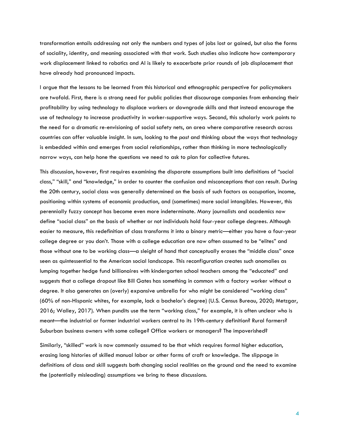transformation entails addressing not only the numbers and types of jobs lost or gained, but also the forms of sociality, identity, and meaning associated with that work. Such studies also indicate how contemporary work displacement linked to robotics and AI is likely to exacerbate prior rounds of job displacement that have already had pronounced impacts.

I argue that the lessons to be learned from this historical and ethnographic perspective for policymakers are twofold. First, there is a strong need for public policies that discourage companies from enhancing their profitability by using technology to displace workers or downgrade skills and that instead encourage the use of technology to increase productivity in worker-supportive ways. Second, this scholarly work points to the need for a dramatic re-envisioning of social safety nets, an area where comparative research across countries can offer valuable insight. In sum, looking to the *past* and thinking about the ways that technology is embedded within and emerges from social relationships, rather than thinking in more technologically narrow ways, can help hone the questions we need to ask to plan for collective futures.

This discussion, however, first requires examining the disparate assumptions built into definitions of "social class," "skill," and "knowledge," in order to counter the confusion and misconceptions that can result. During the 20th century, social class was generally determined on the basis of such factors as occupation, income, positioning within systems of economic production, and (sometimes) more social intangibles. However, this perennially fuzzy concept has become even more indeterminate. Many journalists and academics now define "social class" on the basis of whether or not individuals hold four-year college degrees. Although easier to measure, this redefinition of class transforms it into a binary metric—either you have a four-year college degree or you don't. Those with a college education are now often assumed to be "elites" and those without one to be working class—a sleight of hand that conceptually erases the "middle class" once seen as quintessential to the American social landscape. This reconfiguration creates such anomalies as lumping together hedge fund billionaires with kindergarten school teachers among the "educated" and suggests that a college dropout like Bill Gates has something in common with a factory worker without a degree. It also generates an (overly) expansive umbrella for who might be considered "working class" (60% of non-Hispanic whites, for example, lack a bachelor's degree) (U.S. Census Bureau, 2020; Metzgar, 2016; Walley, 2017). When pundits use the term "working class," for example, it is often unclear who is meant—the industrial or former industrial workers central to its 19th-century definition? Rural farmers? Suburban business owners with some college? Office workers or managers? The impoverished?

Similarly, "skilled" work is now commonly assumed to be that which requires formal higher education, erasing long histories of skilled manual labor or other forms of craft or knowledge. The slippage in definitions of class and skill suggests both changing social realities on the ground and the need to examine the (potentially misleading) assumptions we bring to these discussions.

4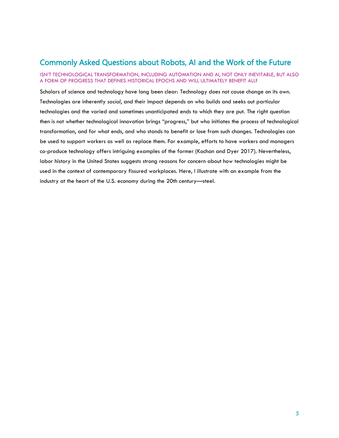### <span id="page-4-0"></span>Commonly Asked Questions about Robots, AI and the Work of the Future

#### ISN'T TECHNOLOGICAL TRANSFORMATION, INCLUDING AUTOMATION AND AI, NOT ONLY INEVITABLE, BUT ALSO A FORM OF PROGRESS THAT DEFINES HISTORICAL EPOCHS AND WILL ULTIMATELY BENEFIT ALL?

Scholars of science and technology have long been clear: Technology does not cause change on its own. Technologies are inherently *social*, and their impact depends on who builds and seeks out particular technologies and the varied and sometimes unanticipated ends to which they are put. The right question then is not whether technological innovation brings "progress," but who initiates the process of technological transformation, and for what ends, and who stands to benefit or lose from such changes. Technologies can be used to support workers as well as replace them. For example, efforts to have workers and managers co-produce technology offers intriguing examples of the former (Kochan and Dyer 2017). Nevertheless, labor history in the United States suggests strong reasons for concern about how technologies might be used in the context of contemporary fissured workplaces. Here, I illustrate with an example from the industry at the heart of the U.S. economy during the 20th century—steel.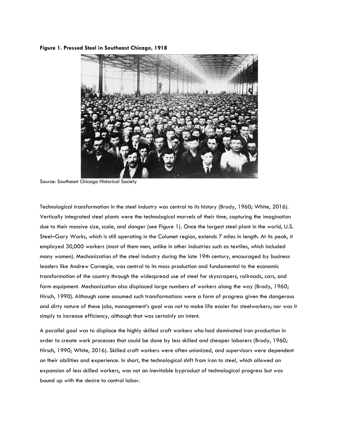#### **Figure 1. Pressed Steel in Southeast Chicago, 1918**



Source: Southeast Chicago Historical Society

Technological transformation in the steel industry was central to its history (Brody, 1960; White, 2016). Vertically integrated steel plants were the technological marvels of their time, capturing the imagination due to their massive size, scale, and danger (see Figure 1). Once the largest steel plant in the world, U.S. Steel–Gary Works, which is still operating in the Calumet region, extends 7 miles in length. At its peak, it employed 30,000 workers (most of them men, unlike in other industries such as textiles, which included many women). Mechanization of the steel industry during the late 19th century, encouraged by business leaders like Andrew Carnegie, was central to its mass production and fundamental to the economic transformation of the country through the widespread use of steel for skyscrapers, railroads, cars, and farm equipment. Mechanization also displaced large numbers of workers along the way (Brody, 1960; Hirsch, 1990). Although some assumed such transformations were a form of progress given the dangerous and dirty nature of these jobs, management's goal was not to make life easier for steelworkers; nor was it simply to increase efficiency, although that was certainly an intent.

A parallel goal was to displace the highly skilled craft workers who had dominated iron production in order to create work processes that could be done by less skilled and cheaper laborers (Brody, 1960; Hirsch, 1990; White, 2016). Skilled craft workers were often unionized, and supervisors were dependent on their abilities and experience. In short, the technological shift from iron to steel, which allowed an expansion of less skilled workers, was not an inevitable byproduct of technological progress but was bound up with the desire to control labor.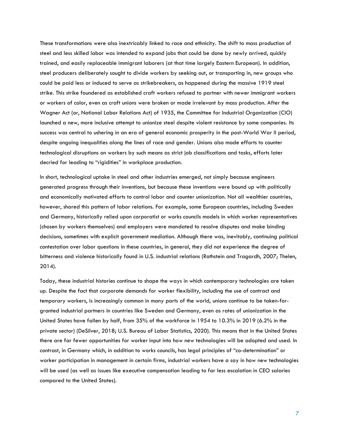These transformations were also inextricably linked to race and ethnicity. The shift to mass production of steel and less skilled labor was intended to expand jobs that could be done by newly arrived, quickly trained, and easily replaceable immigrant laborers (at that time largely Eastern European). In addition, steel producers deliberately sought to divide workers by seeking out, or transporting in, new groups who could be paid less or induced to serve as strikebreakers, as happened during the massive 1919 steel strike. This strike foundered as established craft workers refused to partner with newer immigrant workers or workers of color, even as craft unions were broken or made irrelevant by mass production. After the Wagner Act (or, National Labor Relations Act) of 1935, the Committee for Industrial Organization (CIO) launched a new, more inclusive attempt to unionize steel despite violent resistance by some companies. Its success was central to ushering in an era of general economic prosperity in the post-World War II period, despite ongoing inequalities along the lines of race and gender. Unions also made efforts to counter technological disruptions on workers by such means as strict job classifications and tasks, efforts later decried for leading to "rigidities" in workplace production.

In short, technological uptake in steel and other industries emerged, not simply because engineers generated progress through their inventions, but because these inventions were bound up with politically and economically motivated efforts to control labor and counter unionization. Not all wealthier countries, however, shared this pattern of labor relations. For example, some European countries, including Sweden and Germany, historically relied upon corporatist or works councils models in which worker representatives (chosen by workers themselves) and employers were mandated to resolve disputes and make binding decisions, sometimes with explicit government mediation. Although there was, inevitably, continuing political contestation over labor questions in these countries, in general, they did not experience the degree of bitterness and violence historically found in U.S. industrial relations (Rothstein and Tragardh, 2007; Thelen, 2014).

Today, these industrial histories continue to shape the ways in which contemporary technologies are taken up. Despite the fact that corporate demands for worker flexibility, including the use of contract and temporary workers, is increasingly common in many parts of the world, unions continue to be taken-forgranted industrial partners in countries like Sweden and Germany, even as rates of unionization in the United States have fallen by half, from 35% of the workforce in 1954 to 10.3% in 2019 (6.2% in the private sector) (DeSilver, 2018; U.S. Bureau of Labor Statistics, 2020). This means that in the United States there are far fewer opportunities for worker input into how new technologies will be adopted and used. In contrast, in Germany which, in addition to works councils, has legal principles of "co-determination" or worker participation in management in certain firms, industrial workers have a say in how new technologies will be used (as well as issues like executive compensation leading to far less escalation in CEO salaries compared to the United States).

7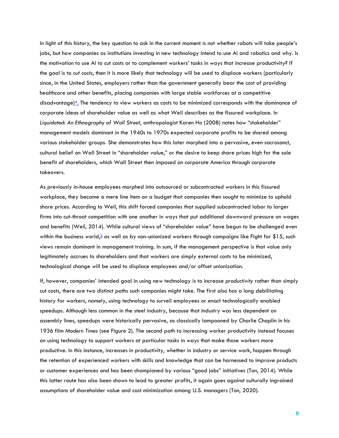In light of this history, the key question to ask in the current moment is not whether robots will take people's jobs, but how companies as institutions investing in new technology intend to use AI and robotics and why. Is the motivation to use AI to cut costs or to complement workers' tasks in ways that increase productivity? If the goal is to *cut costs*, then it is more likely that technology will be used to displace workers (particularly since, in the United States, employers rather than the government generally bear the cost of providing healthcare and other benefits, placing companies with large stable workforces at a competitive disadvantage)<sup>[4](#page-24-3)</sup>. The tendency to view workers as costs to be minimized corresponds with the dominance of corporate ideas of shareholder value as well as what Weil describes as the fissured workplace. In *Liquidated*: *An Ethnography of Wall Street*, anthropologist Karen Ho (2008) notes how "stakeholder" management models dominant in the 1940s to 1970s expected corporate profits to be shared among various stakeholder groups. She demonstrates how this later morphed into a pervasive, even sacrosanct, cultural belief on Wall Street in "shareholder value," or the desire to keep share prices high for the sole benefit of shareholders, which Wall Street then imposed on corporate America through corporate takeovers.

As previously in-house employees morphed into outsourced or subcontracted workers in this fissured workplace, they became a mere line item on a budget that companies then sought to minimize to uphold share prices. According to Weil, this shift forced companies that supplied subcontracted labor to larger firms into cut-throat competition with one another in ways that put additional downward pressure on wages and benefits (Weil, 2014). While cultural views of "shareholder value" have begun to be challenged even within the business world,<sup>[5](#page-4-0)</sup> as well as by non-unionized workers through campaigns like Fight for \$15, such views remain dominant in management training. In sum, if the management perspective is that value only legitimately accrues to shareholders and that workers are simply external costs to be minimized, technological change will be used to displace employees and/or offset unionization.

If, however, companies' intended goal in using new technology is to increase *productivity* rather than simply cut costs, there are two distinct paths such companies might take. The first also has a long debilitating history for workers, namely, using technology to surveil employees or enact technologically enabled speedups. Although less common in the steel industry, because that industry was less dependent on assembly lines, speedups were historically pervasive, as classically lampooned by Charlie Chaplin in his 1936 film *Modern Times* (see Figure 2). The second path to increasing worker productivity instead focuses on using technology to support workers at particular tasks in ways that make those workers more productive. In this instance, increases in productivity, whether in industry or service work, happen through the retention of experienced workers with skills and knowledge that can be harnessed to improve products or customer experiences and has been championed by various "good jobs" initiatives (Ton, 2014). While this latter route has also been shown to lead to greater profits, it again goes against culturally ingrained assumptions of shareholder value and cost minimization among U.S. managers (Ton, 2020).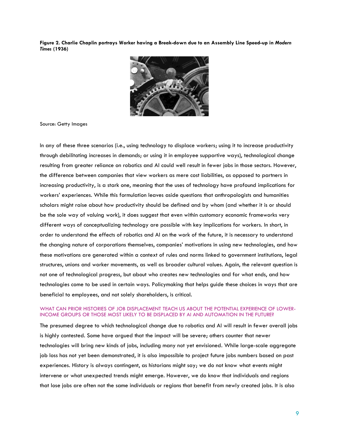**Figure 2. Charlie Chaplin portrays Worker having a Break-down due to an Assembly Line Speed-up in** *Modern Times* **(1936)**



Source: Getty Images

In any of these three scenarios (i.e., using technology to displace workers; using it to increase productivity through debilitating increases in demands; or using it in employee supportive ways), technological change resulting from greater reliance on robotics and AI could well result in fewer jobs in those sectors. However, the difference between companies that view workers as mere cost liabilities, as opposed to partners in increasing productivity, is a stark one, meaning that the uses of technology have profound implications for workers' experiences. While this formulation leaves aside questions that anthropologists and humanities scholars might raise about how productivity should be defined and by whom (and whether it is or should be the sole way of valuing work), it does suggest that even within customary economic frameworks very different ways of conceptualizing technology are possible with key implications for workers. In short, in order to understand the effects of robotics and AI on the work of the future, it is necessary to understand the changing nature of corporations themselves, companies' motivations in using new technologies, and how these motivations are generated within a context of rules and norms linked to government institutions, legal structures, unions and worker movements, as well as broader cultural values. Again, the relevant question is not one of technological progress, but about who creates new technologies and for what ends, and how technologies come to be used in certain ways. Policymaking that helps guide these choices in ways that are beneficial to employees, and not solely shareholders, is critical.

#### WHAT CAN PRIOR HISTORIES OF JOB DISPLACEMENT TEACH US ABOUT THE POTENTIAL EXPERIENCE OF LOWER-INCOME GROUPS OR THOSE MOST LIKELY TO BE DISPLACED BY AI AND AUTOMATION IN THE FUTURE?

The presumed degree to which technological change due to robotics and AI will result in fewer overall jobs is highly contested. Some have argued that the impact will be severe; others counter that newer technologies will bring new kinds of jobs, including many not yet envisioned. While large-scale aggregate job loss has not yet been demonstrated, it is also impossible to project future jobs numbers based on past experiences. History is always contingent, as historians might say; we do not know what events might intervene or what unexpected trends might emerge. However, we do know that individuals and regions that lose jobs are often not the same individuals or regions that benefit from newly created jobs. It is also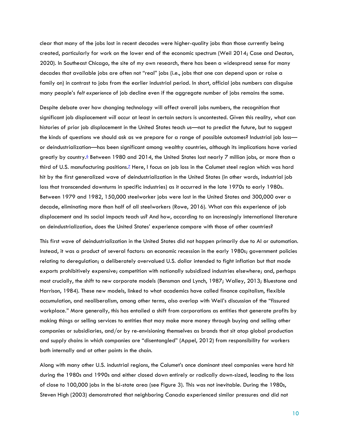clear that many of the jobs lost in recent decades were higher-quality jobs than those currently being created, particularly for work on the lower end of the economic spectrum (Weil 2014; Case and Deaton, 2020). In Southeast Chicago, the site of my own research, there has been a widespread sense for many decades that available jobs are often not "real" jobs (i.e., jobs that one can depend upon or raise a family on) in contrast to jobs from the earlier industrial period. In short, official jobs numbers can disguise many people's *felt experience* of job decline even if the aggregate number of jobs remains the same.

Despite debate over how changing technology will affect overall jobs numbers, the recognition that significant job displacement *will* occur at least in certain sectors is uncontested. Given this reality, what can histories of prior job displacement in the United States teach us—not to predict the future, but to suggest the kinds of questions we should ask as we prepare for a range of possible outcomes? Industrial job loss or deindustrialization—has been significant among wealthy countries, although its implications have varied greatly by country.<sup>[6](#page-4-0)</sup> Between 1980 and 2014, the United States lost nearly 7 million jobs, or more than a third of U.S. manufacturing position[s.](#page-4-0)<sup>Z</sup> Here, I focus on job loss in the Calumet steel region which was hard hit by the first generalized wave of deindustrialization in the United States (in other words, industrial job loss that transcended downturns in specific industries) as it occurred in the late 1970s to early 1980s. Between 1979 and 1982, 150,000 steelworker jobs were lost in the United States and 300,000 over a decade, eliminating more than half of all steelworkers (Rowe, 2016). What can this experience of job displacement and its social impacts teach us? And how, according to an increasingly international literature on deindustrialization, does the United States' experience compare with those of other countries?

This first wave of deindustrialization in the United States did not happen primarily due to AI or automation. Instead, it was a product of several factors: an economic recession in the early 1980s; government policies relating to deregulation; a deliberately overvalued U.S. dollar intended to fight inflation but that made exports prohibitively expensive; competition with nationally subsidized industries elsewhere; and, perhaps most crucially, the shift to new corporate models (Bensman and Lynch, 1987; Walley, 2013; Bluestone and Harrison, 1984). These new models, linked to what academics have called finance capitalism, flexible accumulation, and neoliberalism, among other terms, also overlap with Weil's discussion of the "fissured workplace." More generally, this has entailed a shift from corporations as entities that generate profits by making things or selling services to entities that may make more money through buying and selling other companies or subsidiaries, and/or by re-envisioning themselves as brands that sit atop global production and supply chains in which companies are "disentangled" (Appel, 2012) from responsibility for workers both internally and at other points in the chain.

Along with many other U.S. industrial regions, the Calumet's once dominant steel companies were hard hit during the 1980s and 1990s and either closed down entirely or radically down-sized, leading to the loss of close to 100,000 jobs in the bi-state area (see Figure 3). This was not inevitable. During the 1980s, Steven High (2003) demonstrated that neighboring Canada experienced similar pressures and did not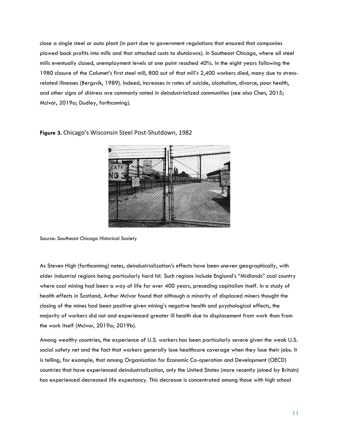close a single steel or auto plant (in part due to government regulations that ensured that companies plowed back profits into mills and that attached costs to shutdowns). In Southeast Chicago, where all steel mills eventually closed, unemployment levels at one point reached 40%. In the eight years following the 1980 closure of the Calumet's first steel mill, 800 out of that mill's 2,400 workers died, many due to stressrelated illnesses (Bergsvik, 1989). Indeed, increases in rates of suicide, alcoholism, divorce, poor health, and other signs of distress are commonly noted in deindustrialized communities (see also Chen, 2015; McIvor, 2019a; Dudley, forthcoming).



**Figure 3.** Chicago's Wisconsin Steel Post-Shutdown, 1982

Source: Southeast Chicago Historical Society

As Steven High (forthcoming) notes, deindustrialization's effects have been uneven geographically, with older industrial regions being particularly hard hit. Such regions include England's "Midlands" coal country where coal mining had been a way of life for over 400 years, preceding capitalism itself. In a study of health effects in Scotland, Arthur McIvor found that although a minority of displaced miners thought the closing of the mines had been positive given mining's negative health and psychological effects, the majority of workers did not and experienced greater ill health due to displacement from work than from the work itself (McIvor, 2019a; 2019b).

Among wealthy countries, the experience of U.S. workers has been particularly severe given the weak U.S. social safety net and the fact that workers generally lose healthcare coverage when they lose their jobs. It is telling, for example, that among Organisation for Economic Co-operation and Development (OECD) countries that have experienced deindustrialization, only the United States (more recently joined by Britain) has experienced decreased life expectancy. This decrease is concentrated among those with high school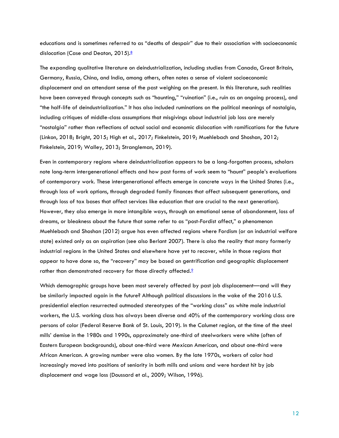educations and is sometimes referred to as "deaths of despair" due to their association with socioeconomic dislocation (Case and Deaton, 2015[\).](#page-24-4)<sup>8</sup>

The expanding qualitative literature on deindustrialization, including studies from Canada, Great Britain, Germany, Russia, China, and India, among others, often notes a sense of violent socioeconomic displacement and an attendant sense of the past weighing on the present. In this literature, such realities have been conveyed through concepts such as "haunting," "ruination" (i.e., ruin as an ongoing process), and "the half-life of deindustrialization." It has also included ruminations on the political meanings of nostalgia, including critiques of middle-class assumptions that misgivings about industrial job loss are merely "nostalgia" rather than reflections of actual social and economic dislocation with ramifications for the future (Linkon, 2018; Bright, 2015; High et al., 2017; Finkelstein, 2019; Muehlebach and Shoshan, 2012; Finkelstein, 2019; Walley, 2013; Strangleman, 2019).

Even in contemporary regions where deindustrialization appears to be a long-forgotten process, scholars note long-term intergenerational effects and how past forms of work seem to "haunt" people's evaluations of contemporary work. These intergenerational effects emerge in concrete ways in the United States (i.e., through loss of work options, through degraded family finances that affect subsequent generations, and through loss of tax bases that affect services like education that are crucial to the next generation). However, they also emerge in more intangible ways, through an emotional sense of abandonment, loss of dreams, or bleakness about the future that some refer to as "post-Fordist affect," a phenomenon Muehlebach and Shoshan (2012) argue has even affected regions where Fordism (or an industrial welfare state) existed only as an aspiration (see also Berlant 2007). There is also the reality that many formerly industrial regions in the United States and elsewhere have yet to recover, while in those regions that appear to have done so, the "recovery" may be based on gentrification and geographic displacement rather than demonstrated recovery for those directly affected.<sup>2</sup>

Which demographic groups have been most severely affected by past job displacement—and will they be similarly impacted again in the future? Although political discussions in the wake of the 2016 U.S. presidential election resurrected outmoded stereotypes of the "working class" as white male industrial workers, the U.S. working class has always been diverse and 40% of the contemporary working class are persons of color (Federal Reserve Bank of St. Louis, 2019). In the Calumet region, at the time of the steel mills' demise in the 1980s and 1990s, approximately one-third of steelworkers were white (often of Eastern European backgrounds), about one-third were Mexican American, and about one-third were African American. A growing number were also women. By the late 1970s, workers of color had increasingly moved into positions of seniority in both mills and unions and were hardest hit by job displacement and wage loss (Doussard et al., 2009; Wilson, 1996).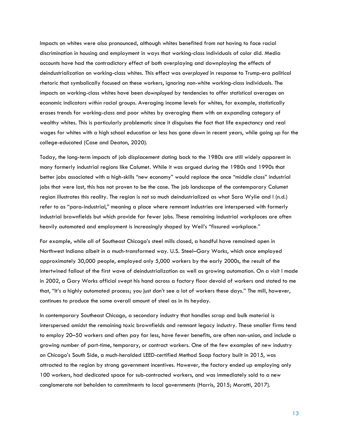Impacts on whites were also pronounced, although whites benefited from not having to face racial discrimination in housing and employment in ways that working-class individuals of color did. Media accounts have had the contradictory effect of both overplaying and downplaying the effects of deindustrialization on working-class whites. This effect was *overplayed* in response to Trump-era political rhetoric that symbolically focused on these workers, ignoring non-white working-class individuals. The impacts on working-class whites have been *downplayed* by tendencies to offer statistical averages on economic indicators *within* racial groups. Averaging income levels for whites, for example, statistically erases trends for working-class and poor whites by averaging them with an expanding category of wealthy whites. This is particularly problematic since it disguises the fact that life expectancy and real wages for whites with a high school education or less has gone *down* in recent years, while going *up* for the college-educated (Case and Deaton, 2020).

Today, the long-term impacts of job displacement dating back to the 1980s are still widely apparent in many formerly industrial regions like Calumet. While it was argued during the 1980s and 1990s that better jobs associated with a high-skills "new economy" would replace the once "middle class" industrial jobs that were lost, this has not proven to be the case. The job landscape of the contemporary Calumet region illustrates this reality. The region is not so much deindustrialized as what Sara Wylie and I (n.d.) refer to as "para-industrial," meaning a place where remnant industries are interspersed with formerly industrial brownfields but which provide far fewer jobs. These remaining industrial workplaces are often heavily automated and employment is increasingly shaped by Weil's "fissured workplace."

For example, while all of Southeast Chicago's steel mills closed, a handful have remained open in Northwest Indiana albeit in a much-transformed way. U.S. Steel–Gary Works, which once employed approximately 30,000 people, employed only 5,000 workers by the early 2000s, the result of the intertwined fallout of the first wave of deindustrialization as well as growing automation. On a visit I made in 2002, a Gary Works official swept his hand across a factory floor devoid of workers and stated to me that, "It's a highly automated process; you just don't see a lot of workers these days." The mill, however, continues to produce the same overall amount of steel as in its heyday.

In contemporary Southeast Chicago, a secondary industry that handles scrap and bulk material is interspersed amidst the remaining toxic brownfields and remnant legacy industry. These smaller firms tend to employ 20–50 workers and often pay far less, have fewer benefits, are often non-union, and include a growing number of part-time, temporary, or contract workers. One of the few examples of new industry on Chicago's South Side, a much-heralded LEED-certified Method Soap factory built in 2015, was attracted to the region by strong government incentives. However, the factory ended up employing only 100 workers, had dedicated space for sub-contracted workers, and was immediately sold to a new conglomerate not beholden to commitments to local governments (Harris, 2015; Marotti, 2017).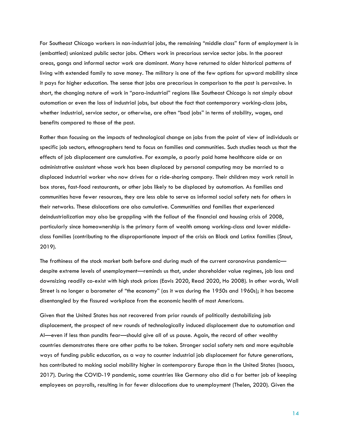For Southeast Chicago workers in non-industrial jobs, the remaining "middle class" form of employment is in (embattled) unionized public sector jobs. Others work in precarious service sector jobs. In the poorest areas, gangs and informal sector work are dominant. Many have returned to older historical patterns of living with extended family to save money. The military is one of the few options for upward mobility since it pays for higher education. The sense that jobs are precarious in comparison to the past is pervasive. In short, the changing nature of work in "para-industrial" regions like Southeast Chicago is not simply about automation or even the loss of industrial jobs, but about the fact that contemporary working-class jobs, whether industrial, service sector, or otherwise, are often "bad jobs" in terms of stability, wages, and benefits compared to those of the past.

Rather than focusing on the impacts of technological change on jobs from the point of view of individuals or specific job sectors, ethnographers tend to focus on families and communities. Such studies teach us that the effects of job displacement are cumulative. For example, a poorly paid home healthcare aide or an administrative assistant whose work has been displaced by personal computing may be married to a displaced industrial worker who now drives for a ride-sharing company. Their children may work retail in box stores, fast-food restaurants, or other jobs likely to be displaced by automation. As families and communities have fewer resources, they are less able to serve as informal social safety nets for others in their networks. These dislocations are also cumulative. Communities and families that experienced deindustrialization may also be grappling with the fallout of the financial and housing crisis of 2008, particularly since homeownership is the primary form of wealth among working-class and lower middleclass families (contributing to the disproportionate impact of the crisis on Black and Latinx families (Stout, 2019).

The frothiness of the stock market both before and during much of the current coronavirus pandemic despite extreme levels of unemployment—reminds us that, under shareholder value regimes, job loss and downsizing readily co-exist with high stock prices (Eavis 2020, Read 2020, Ho 2008). In other words, Wall Street is no longer a barometer of "the economy" (as it was during the 1950s and 1960s); it has become disentangled by the fissured workplace from the economic health of most Americans.

Given that the United States has not recovered from prior rounds of politically destabilizing job displacement, the prospect of new rounds of technologically induced displacement due to automation and AI—even if less than pundits fear—should give all of us pause. Again, the record of other wealthy countries demonstrates there are other paths to be taken. Stronger social safety nets and more equitable ways of funding public education, as a way to counter industrial job displacement for future generations, has contributed to making social mobility higher in contemporary Europe than in the United States (Isaacs, 2017). During the COVID-19 pandemic, some countries like Germany also did a far better job of keeping employees on payrolls, resulting in far fewer dislocations due to unemployment (Thelen, 2020). Given the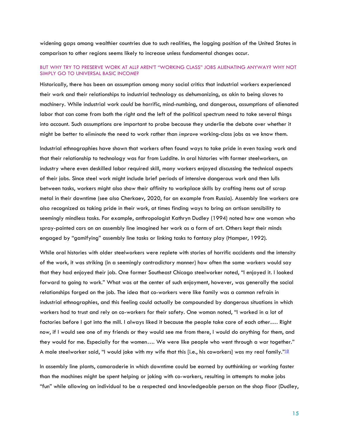widening gaps among wealthier countries due to such realities, the lagging position of the United States in comparison to other regions seems likely to increase unless fundamental changes occur.

#### BUT WHY TRY TO PRESERVE WORK AT ALL? AREN'T "WORKING CLASS" JOBS ALIENATING ANYWAY? WHY NOT SIMPLY GO TO UNIVERSAL BASIC INCOME?

Historically, there has been an assumption among many social critics that industrial workers experienced their work and their relationships to industrial technology as dehumanizing, as akin to being slaves to machinery. While industrial work *could* be horrific, mind-numbing, and dangerous, assumptions of alienated labor that can come from both the right and the left of the political spectrum need to take several things into account. Such assumptions are important to probe because they underlie the debate over whether it might be better to *eliminate* the need to work rather than *improve* working-class jobs as we know them.

Industrial ethnographies have shown that workers often found ways to take pride in even taxing work and that their relationship to technology was far from Luddite. In oral histories with former steelworkers, an industry where even deskilled labor required skill, many workers enjoyed discussing the technical aspects of their jobs. Since steel work might include brief periods of intensive dangerous work and then lulls between tasks, workers might also show their affinity to workplace skills by crafting items out of scrap metal in their downtime (see also Cherkaev, 2020, for an example from Russia). Assembly line workers are also recognized as taking pride in their work, at times finding ways to bring an artisan sensibility to seemingly mindless tasks. For example, anthropologist Kathryn Dudley (1994) noted how one woman who spray-painted cars on an assembly line imagined her work as a form of art. Others kept their minds engaged by "gamifying" assembly line tasks or linking tasks to fantasy play (Hamper, 1992).

While oral histories with older steelworkers were replete with stories of horrific accidents and the intensity of the work, it was striking (in a seemingly contradictory manner) how often the same workers would say that they had enjoyed their job. One former Southeast Chicago steelworker noted, "I enjoyed it. I looked forward to going to work." What was at the center of such enjoyment, however, was generally the social relationships forged on the job. The idea that co-workers were like family was a common refrain in industrial ethnographies, and this feeling could actually be compounded by dangerous situations in which workers had to trust and rely on co-workers for their safety. One woman noted, "I worked in a lot of factories before I got into the mill. I always liked it because the people take care of each other…. Right now, if I would see one of my friends or they would see me from there, I would do anything for them, and they would for me. Especially for the women…. We were like people who went through a war together." A male steelworker said, "I would joke with my wife that this [i.e., his coworkers] was my real family."[10](#page-4-0)

In assembly line plants, camaraderie in which downtime could be earned by outthinking or working faster than the machines might be spent helping or joking with co-workers, resulting in attempts to make jobs "fun" while allowing an individual to be a respected and knowledgeable person on the shop floor (Dudley,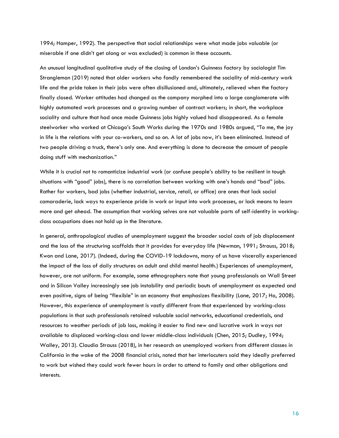1994; Hamper, 1992). The perspective that social relationships were what made jobs valuable (or miserable if one didn't get along or was excluded) is common in these accounts.

An unusual longitudinal qualitative study of the closing of London's Guinness factory by sociologist Tim Strangleman (2019) noted that older workers who fondly remembered the sociality of mid-century work life and the pride taken in their jobs were often disillusioned and, ultimately, relieved when the factory finally closed. Worker attitudes had changed as the company morphed into a large conglomerate with highly automated work processes and a growing number of contract workers; in short, the workplace sociality and culture that had once made Guinness jobs highly valued had disappeared. As a female steelworker who worked at Chicago's South Works during the 1970s and 1980s argued, "To me, the joy in life is the relations with your co-workers, and so on. A lot of jobs now, it's been eliminated. Instead of two people driving a truck, there's only one. And everything is done to decrease the amount of people doing stuff with mechanization."

While it is crucial not to romanticize industrial work (or confuse people's ability to be resilient in tough situations with "good" jobs), there is no correlation between working with one's hands and "bad" jobs. Rather for workers, bad jobs (whether industrial, service, retail, or office) are ones that lack social camaraderie, lack ways to experience pride in work or input into work processes, or lack means to learn more and get ahead. The assumption that working selves are not valuable parts of self-identity in workingclass occupations does not hold up in the literature.

In general, anthropological studies of unemployment suggest the broader social costs of job displacement and the loss of the structuring scaffolds that it provides for everyday life (Newman, 1991; Strauss, 2018; Kwon and Lane, 2017). (Indeed, during the COVID-19 lockdowns, many of us have viscerally experienced the impact of the loss of daily structures on adult and child mental health.) Experiences of unemployment, however, are not uniform. For example, some ethnographers note that young professionals on Wall Street and in Silicon Valley increasingly see job instability and periodic bouts of unemployment as expected and even positive, signs of being "flexible" in an economy that emphasizes flexibility (Lane, 2017; Ho, 2008). However, this experience of unemployment is vastly different from that experienced by working-class populations in that such professionals retained valuable social networks, educational credentials, and resources to weather periods of job loss, making it easier to find new and lucrative work in ways not available to displaced working-class and lower middle-class individuals (Chen, 2015; Dudley, 1994; Walley, 2013). Claudia Strauss (2018), in her research on unemployed workers from different classes in California in the wake of the 2008 financial crisis, noted that her interlocuters said they ideally preferred to work but wished they could work fewer hours in order to attend to family and other obligations and interests.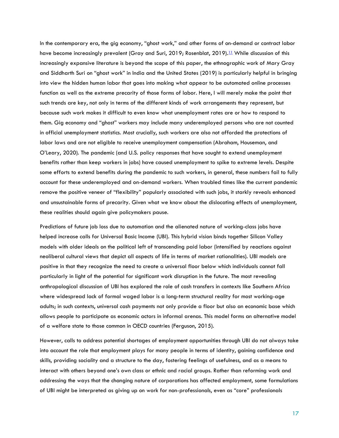In the contemporary era, the gig economy, "ghost work," and other forms of on-demand or contract labor have become increasingly prevalent (Gray and Suri, 2019; Rosenblat, 2019).<sup>[11](#page-4-0)</sup> While discussion of this increasingly expansive literature is beyond the scope of this paper, the ethnographic work of Mary Gray and Siddharth Suri on "ghost work" in India and the United States (2019) is particularly helpful in bringing into view the hidden human labor that goes into making what appear to be automated online processes function as well as the extreme precarity of those forms of labor. Here, I will merely make the point that such trends are key, not only in terms of the different kinds of work arrangements they represent, but because such work makes it difficult to even know what unemployment rates are or how to respond to them. Gig economy and "ghost" workers may include many underemployed persons who are not counted in official unemployment statistics. Most crucially, such workers are also not afforded the protections of labor laws and are not eligible to receive unemployment compensation (Abraham, Houseman, and O'Leary, 2020). The pandemic (and U.S. policy responses that have sought to extend unemployment benefits rather than keep workers in jobs) have caused unemployment to spike to extreme levels. Despite some efforts to extend benefits during the pandemic to such workers, in general, these numbers fail to fully account for these underemployed and on-demand workers. When troubled times like the current pandemic remove the positive veneer of "flexibility" popularly associated with such jobs, it starkly reveals enhanced and unsustainable forms of precarity. Given what we know about the dislocating effects of unemployment, these realities should again give policymakers pause.

Predictions of future job loss due to automation and the alienated nature of working-class jobs have helped increase calls for Universal Basic Income (UBI). This hybrid vision binds together Silicon Valley models with older ideals on the political left of transcending paid labor (intensified by reactions against neoliberal cultural views that depict all aspects of life in terms of market rationalities). UBI models are positive in that they recognize the need to create a universal floor below which individuals cannot fall particularly in light of the potential for significant work disruption in the future. The most revealing anthropological discussion of UBI has explored the role of cash transfers in contexts like Southern Africa where widespread lack of formal waged labor is a long-term structural reality for most working-age adults; in such contexts, universal cash payments not only provide a floor but also an economic base which allows people to participate as economic actors in informal arenas. This model forms an alternative model of a welfare state to those common in OECD countries (Ferguson, 2015).

However, calls to address potential shortages of employment opportunities through UBI do not always take into account the role that employment plays for many people in terms of identity, gaining confidence and skills, providing sociality and a structure to the day, fostering feelings of usefulness, and as a means to interact with others beyond one's own class or ethnic and racial groups. Rather than reforming work and addressing the ways that the changing nature of corporations has affected employment, some formulations of UBI might be interpreted as giving up on work for non-professionals, even as "core" professionals

17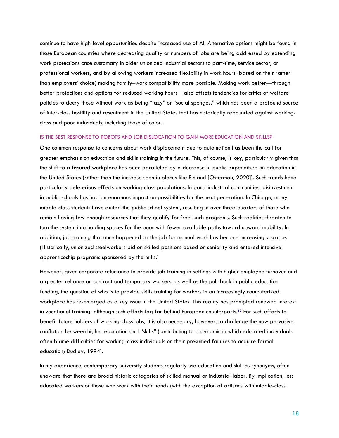continue to have high-level opportunities despite increased use of AI. Alternative options might be found in those European countries where decreasing quality or numbers of jobs are being addressed by extending work protections once customary in older unionized industrial sectors to part-time, service sector, or professional workers, and by allowing workers increased flexibility in work hours (based on their rather than employers' choice) making family–work compatibility more possible. Making work better—through better protections and options for reduced working hours—also offsets tendencies for critics of welfare policies to decry those without work as being "lazy" or "social sponges," which has been a profound source of inter-class hostility and resentment in the United States that has historically rebounded against workingclass and poor individuals, including those of color.

#### IS THE BEST RESPONSE TO ROBOTS AND JOB DISLOCATION TO GAIN MORE EDUCATION AND SKILLS?

One common response to concerns about work displacement due to automation has been the call for greater emphasis on education and skills training in the future. This, of course, is key, particularly given that the shift to a fissured workplace has been paralleled by a decrease in public expenditure on education in the United States (rather than the increase seen in places like Finland [Osterman, 2020]). Such trends have particularly deleterious effects on working-class populations. In para-industrial communities, disinvestment in public schools has had an enormous impact on possibilities for the next generation. In Chicago, many middle-class students have exited the public school system, resulting in over three-quarters of those who remain having few enough resources that they qualify for free lunch programs. Such realities threaten to turn the system into holding spaces for the poor with fewer available paths toward upward mobility. In addition, job training that once happened on the job for manual work has become increasingly scarce. (Historically, unionized steelworkers bid on skilled positions based on seniority and entered intensive apprenticeship programs sponsored by the mills.)

However, given corporate reluctance to provide job training in settings with higher employee turnover and a greater reliance on contract and temporary workers, as well as the pull-back in public education funding, the question of who is to provide skills training for workers in an increasingly computerized workplace has re-emerged as a key issue in the United States. This reality has prompted renewed interest in vocational training, although such efforts lag far behind European counterparts. [12](#page-4-0) For such efforts to benefit future holders of working-class jobs, it is also necessary, however, to challenge the now pervasive conflation between higher education and "skills" (contributing to a dynamic in which educated individuals often blame difficulties for working-class individuals on their presumed failures to acquire formal education; Dudley, 1994).

In my experience, contemporary university students regularly use education and skill as synonyms, often unaware that there are broad historic categories of skilled manual or industrial labor. By implication, less educated workers or those who work with their hands (with the exception of artisans with middle-class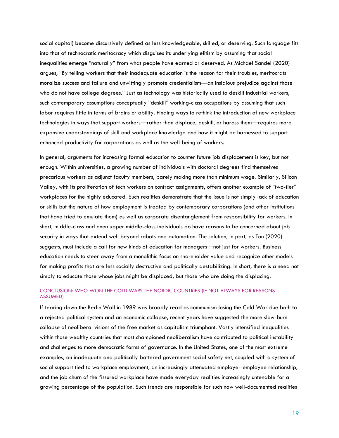social capital) become discursively defined as less knowledgeable, skilled, or deserving. Such language fits into that of technocratic meritocracy which disguises its underlying elitism by assuming that social inequalities emerge "naturally" from what people have earned or deserved. As Michael Sandel (2020) argues, "By telling workers that their inadequate education is the reason for their troubles, meritocrats moralize success and failure and unwittingly promote credentialism—an insidious prejudice against those who do not have college degrees." Just as technology was historically used to deskill industrial workers, such contemporary assumptions conceptually "deskill" working-class occupations by assuming that such labor requires little in terms of brains or ability. Finding ways to rethink the introduction of new workplace technologies in ways that support workers—rather than displace, deskill, or harass them—requires more expansive understandings of skill and workplace knowledge and how it might be harnessed to support enhanced productivity for corporations as well as the well-being of workers.

In general, arguments for increasing formal education to counter future job displacement is key, but not enough. Within universities, a growing number of individuals with doctoral degrees find themselves precarious workers as adjunct faculty members, barely making more than minimum wage. Similarly, Silicon Valley, with its proliferation of tech workers on contract assignments, offers another example of "two-tier" workplaces for the highly educated. Such realities demonstrate that the issue is not simply lack of education or skills but the nature of how employment is treated by contemporary corporations (and other institutions that have tried to emulate them) as well as corporate disentanglement from responsibility for workers. In short, middle-class and even upper middle-class individuals do have reasons to be concerned about job security in ways that extend well beyond robots and automation. The solution, in part, as Ton (2020) suggests, must include a call for new kinds of education for managers—not just for workers. Business education needs to steer away from a monolithic focus on shareholder value and recognize other models for making profits that are less socially destructive and politically destabilizing. In short, there is a need not simply to educate those whose jobs might be displaced, but those who are doing the displacing.

#### CONCLUSION: WHO WON THE COLD WAR? THE NORDIC COUNTRIES (IF NOT ALWAYS FOR REASONS ASSUMED)

If tearing down the Berlin Wall in 1989 was broadly read as communism losing the Cold War due both to a rejected political system and an economic collapse, recent years have suggested the more slow-burn collapse of neoliberal visions of the free market as capitalism triumphant. Vastly intensified inequalities within those wealthy countries that most championed neoliberalism have contributed to political instability and challenges to more democratic forms of governance. In the United States, one of the most extreme examples, an inadequate and politically battered government social safety net, coupled with a system of social support tied to workplace employment, an increasingly attenuated employer-employee relationship, and the job churn of the fissured workplace have made everyday realities increasingly untenable for a growing percentage of the population. Such trends are responsible for such now well-documented realities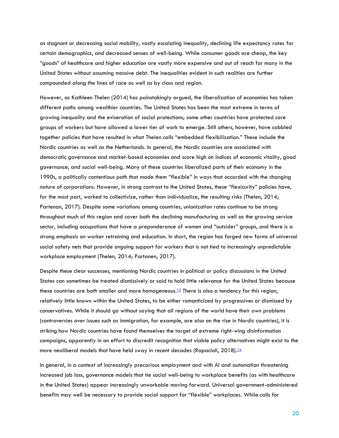as stagnant or decreasing social mobility, vastly escalating inequality, declining life expectancy rates for certain demographics, and decreased senses of well-being. While consumer goods are cheap, the key "goods" of healthcare and higher education are vastly more expensive and out of reach for many in the United States without assuming massive debt. The inequalities evident in such realities are further compounded along the lines of race as well as by class and region.

However, as Kathleen Thelen (2014) has painstakingly argued, the liberalization of economies has taken different paths among wealthier countries. The United States has been the most extreme in terms of growing inequality and the eviseration of social protections; some other countries have protected core groups of workers but have allowed a lower tier of work to emerge. Still others, however, have cobbled together policies that have resulted in what Thelen calls "embedded flexibilization." These include the Nordic countries as well as the Netherlands. In general, the Nordic countries are associated with democratic governance and market-based economies and score high on indices of economic vitality, good governance, and social well-being. Many of these countries liberalized parts of their economy in the 1990s, a politically contentious path that made them "flexible" in ways that accorded with the changing nature of corporations. However, in strong contrast to the United States, these "flexicurity" policies have, for the most part, worked to collectivize, rather than individualize, the resulting risks (Thelen, 2014; Partenan, 2017). Despite some variations among countries, unionization rates continue to be strong throughout much of this region and cover both the declining manufacturing as well as the growing service sector, including occupations that have a preponderance of women and "outsider" groups, and there is a strong emphasis on worker retraining and education. In short, the region has forged new forms of universal social safety nets that provide ongoing support for workers that is not tied to increasingly unpredictable workplace employment (Thelen, 2014; Partanen, 2017).

Despite these clear successes, mentioning Nordic countries in political or policy discussions in the United States can sometimes be treated dismissively or said to hold little relevance for the United States because these countries are both smaller and more homogeneous.<sup>[13](#page-4-0)</sup> There is also a tendency for this region, relatively little known within the United States, to be either romanticized by progressives or dismissed by conservatives. While it should go without saying that all regions of the world have their own problems (controversies over issues such as immigration, for example, are also on the rise in Nordic countries), it is striking how Nordic countries have found themselves the target of extreme right-wing disinformation campaigns, apparently in an effort to discredit recognition that viable policy alternatives might exist to the more neoliberal models that have held sway in recent decades (Rapacioli, 2018).[14](#page-4-0)

In general, in a context of increasingly precarious employment and with AI and automation threatening increased job loss, governance models that tie social well-being to workplace benefits (as with healthcare in the United States) appear increasingly unworkable moving forward. Universal government-administered benefits may well be necessary to provide social support for "flexible" workplaces. While calls for

20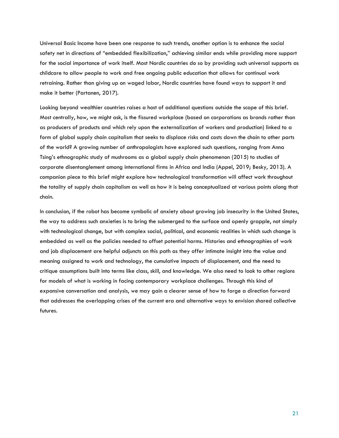Universal Basic Income have been one response to such trends, another option is to enhance the social safety net in directions of "embedded flexibilization," achieving similar ends while providing more support for the social importance of work itself. Most Nordic countries do so by providing such universal supports as childcare to allow people to work and free ongoing public education that allows for continual work retraining. Rather than giving up on waged labor, Nordic countries have found ways to support it and make it better (Partanen, 2017).

Looking beyond wealthier countries raises a host of additional questions outside the scope of this brief. Most centrally, how, we might ask, is the fissured workplace (based on corporations as brands rather than as producers of products and which rely upon the externalization of workers and production) linked to a form of global supply chain capitalism that seeks to displace risks and costs down the chain to other parts of the world? A growing number of anthropologists have explored such questions, ranging from Anna Tsing's ethnographic study of mushrooms as a global supply chain phenomenon (2015) to studies of corporate disentanglement among international firms in Africa and India (Appel, 2019; Besky, 2013). A companion piece to this brief might explore how technological transformation will affect work throughout the totality of supply chain capitalism as well as how it is being conceptualized at various points along that chain.

In conclusion, if the robot has become symbolic of anxiety about growing job insecurity in the United States, the way to address such anxieties is to bring the submerged to the surface and openly grapple, not simply with technological change, but with complex social, political, and economic realities in which such change is embedded as well as the policies needed to offset potential harms. Histories and ethnographies of work and job displacement are helpful adjuncts on this path as they offer intimate insight into the value and meaning assigned to work and technology, the cumulative impacts of displacement, and the need to critique assumptions built into terms like class, skill, and knowledge. We also need to look to other regions for models of what is working in facing contemporary workplace challenges. Through this kind of expansive conversation and analysis, we may gain a clearer sense of how to forge a direction forward that addresses the overlapping crises of the current era and alternative ways to envision shared collective futures.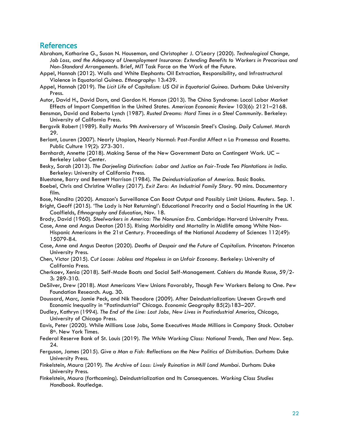#### References

- Abraham, Katharine G., Susan N. Houseman, and Christopher J. O'Leary (2020). *Technological Change, Job Loss, and the Adequacy of Unemployment Insurance: Extending Benefits to Workers in Precarious and Non-Standard Arrangements*. Brief, MIT Task Force on the Work of the Future.
- Appel, Hannah (2012). Walls and White Elephants: Oil Extraction, Responsibility, and Infrastructural Violence in Equatorial Guinea. *Ethnography*: 13:439.
- Appel, Hannah (2019). *The Licit Life of Capitalism: US Oil in Equatorial Guinea*. Durham: Duke University Press.
- Autor, David H., David Dorn, and Gordon H. Hanson (2013). The China Syndrome: Local Labor Market Effects of Import Competition in the United States. *American Economic Review* 103(6): 2121–2168.
- Bensman, David and Roberta Lynch (1987). *Rusted Dreams: Hard Times in a Steel Community*. Berkeley: University of California Press.
- Bergsvik Robert (1989). Rally Marks 9th Anniversary of Wisconsin Steel's Closing. *Daily Calumet*. March 29.
- Berlant, Lauren (2007). Nearly Utopian, Nearly Normal: Post-Fordist Affect n La Promessa and Rosetta. Public Culture 19(2): 273-301.
- Bernhardt, Annette (2018). Making Sense of the New Government Data on Contingent Work. UC Berkeley Labor Center.
- Besky, Sarah (2013). *The Darjeeling Distinction: Labor and Justice on Fair-Trade Tea Plantations in India*. Berkeley: University of California Press.
- Bluestone, Barry and Bennett Harrison (1984). *The Deindustrialization of America*. Basic Books.
- Boebel, Chris and Christine Walley (2017). *Exit Zero: An Industrial Family Story*. 90 mins. Documentary film.
- Bose, Nandita (2020). Amazon's Surveillance Can Boost Output and Possibly Limit Unions. *Reuters*. Sep. 1.
- Bright, Geoff (2015). 'The Lady is Not Returning!': Educational Precarity and a Social Haunting in the UK Coalfields, *Ethnography and Education*, Nov. 18.
- Brody, David (1960). *Steelworkers in America: The Nonunion Era*. Cambridge: Harvard University Press. Case, Anne and Angus Deaton (2015). Rising Morbidity and Mortality in Midlife among White Non-
- Hispanic Americans in the 21st Century. Proceedings of the National Academy of Sciences 112(49): 15079-84.
- Case, Anne and Angus Deaton (2020). *Deaths of Despair and the Future of Capitalism*. Princeton: Princeton University Press.
- Chen, Victor (2015). *Cut Loose: Jobless and Hopeless in an Unfair Economy*. Berkeley: University of California Press.
- Cherkaev, Xenia (2018). Self-Made Boats and Social Self-Management. Cahiers du Monde Russe, 59/2- 3: 289-310.
- DeSilver, Drew (2018). Most Americans View Unions Favorably, Though Few Workers Belong to One. Pew Foundation Research. Aug. 30.
- Doussard, Marc, Jamie Peck, and Nik Theodore (2009). After Deindustrialization: Uneven Growth and Economic Inequality in "Postindustrial" Chicago. *Economic Geography* 85(2):183–207.
- Dudley, Kathryn (1994). *The End of the Line: Lost Jobs, New Lives in Postindustrial America*, Chicago, University of Chicago Press.
- Eavis, Peter (2020). While Millions Lose Jobs, Some Executives Made Millions in Company Stock. October 8th. New York Times.
- Federal Reserve Bank of St. Louis (2019). *The White Working Class: National Trends, Then and Now*. Sep. 24.
- Ferguson, James (2015). *Give a Man a Fish: Reflections on the New Politics of Distribution*. Durham: Duke University Press.
- Finkelstein, Maura (2019). *The Archive of Loss: Lively Ruination in Mill Land Mumbai*. Durham: Duke University Press.
- Finkelstein, Maura (forthcoming). Deindustrialization and Its Consequences. *Working Class Studies Handbook*. Routledge.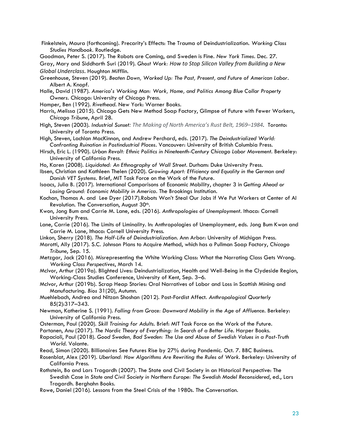Finkelstein, Maura (forthcoming). Precarity's Effects: The Trauma of Deindustrialization. *Working Class Studies Handbook*. Routledge.

Goodman, Peter S. (2017). The Robots are Coming, and Sweden is Fine. *New York Times*. Dec. 27. Gray, Mary and Siddharth Suri (2019). *Ghost Work: How to Stop Silicon Valley from Building a New Global Underclass*. Houghton Mifflin.

- Greenhouse, Steven (2019). *Beaten Down, Worked Up: The Past, Present, and Future of American Labor*. Albert A. Knopf.
- Halle, David (1987). *America's Working Man: Work, Home, and Politics Among Blue Collar Property Owners*. Chicago: University of Chicago Press.
- Hamper, Ben (1992). *Rivethead*. New York: Warner Books.
- Harris, Melissa (2015). Chicago Gets New Method Soap Factory, Glimpse of Future with Fewer Workers, *Chicago Tribune*, April 28.
- High, Steven (2003). *Industrial Sunset: The Making of North America's Rust Belt, 1969–1984*. Toronto: University of Toronto Press.
- High, Steven, Lachlan MacKinnon, and Andrew Perchard, eds. (2017). *The Deindustrialized World: Confronting Ruination in Postindustrial Places*. Vancouver: University of British Columbia Press.
- Hirsch, Eric L. (1990). *Urban Revolt: Ethnic Politics in Nineteenth-Century Chicago Labor Movement*. Berkeley: University of California Press.
- Ho, Karen (2008). *Liquidated: An Ethnography of Wall Street*. Durham: Duke University Press.
- Ibsen, Christian and Kathleen Thelen (2020). *Growing Apart: Efficiency and Equality in the German and Danish VET Systems*. Brief, MIT Task Force on the Work of the Future.
- Isaacs, Julia B. (2017). International Comparisons of Economic Mobility, chapter 3 in *Getting Ahead or Losing Ground: Economic Mobility in America*. The Brookings Institution.
- Kochan, Thomas A. and Lee Dyer (2017).Robots Won't Steal Our Jobs if We Put Workers at Center of AI Revolution. The Conversation, August 30<sup>th</sup>.
- Kwon, Jong Bum and Carrie M. Lane, eds. (2016). *Anthropologies of Unemployment*. Ithaca: Cornell University Press.
- Lane, Carrie (2016). The Limits of Liminality. In: Anthropologies of Unemployment, eds. Jong Bum Kwon and Carrie M. Lane, Ithaca: Cornell University Press.
- Linkon, Sherry (2018). *The Half-Life of Deindustrialization*. Ann Arbor: University of Michigan Press.
- Marotti, Ally (2017). S.C. Johnson Plans to Acquire Method, which has a Pullman Soap Factory, *Chicago Tribune*, Sep. 15.
- Metzgar, Jack (2016). Misrepresenting the White Working Class: What the Narrating Class Gets Wrong. *Working Class Perspectives*, March 14.
- McIvor, Arthur (2019a). Blighted Lives: Deindustrialization, Health and Well-Being in the Clydeside Region, Working-Class Studies Conference, University of Kent, Sep. 3–6.
- McIvor, Arthur (2019b). Scrap Heap Stories: Oral Narratives of Labor and Loss in Scottish Mining and Manufacturing. *Bios* 31(20), Autumn.
- Muehlebach, Andrea and Nitzan Shoshan (2012). Post-Fordist Affect. *Anthropological Quarterly*  85(2):317–343.
- Newman, Katherine S. (1991). *Falling from Grace: Downward Mobility in the Age of Affluence*. Berkeley: University of California Press.
- Osterman, Paul (2020). *Skill Training for Adults*. Brief: MIT Task Force on the Work of the Future.
- Partanen, Anu (2017). *The Nordic Theory of Everything: In Search of a Better Life*. Harper Books.
- Rapacioli, Paul (2018). *Good Sweden, Bad Sweden: The Use and Abuse of Swedish Values in a Post-Truth World*. Volante.
- Read, Simon (2020). Billionaires See Futures Rise by 27% during Pandemic. Oct. 7. BBC Business.
- Rosenblat, Alex (2019). *Uberland: How Algorithms Are Rewriting the Rules of Work*. Berkeley: University of California Press.
- Rothstein, Bo and Lars Tragardh (2007). The State and Civil Society in an Historical Perspective: The Swedish Case in *State and Civil Society in Northern Europe: The Swedish Model Reconsidered*, ed., Lars Tragardh. Berghahn Books.
- Rowe, Daniel (2016). Lessons from the Steel Crisis of the 1980s. The Conversation.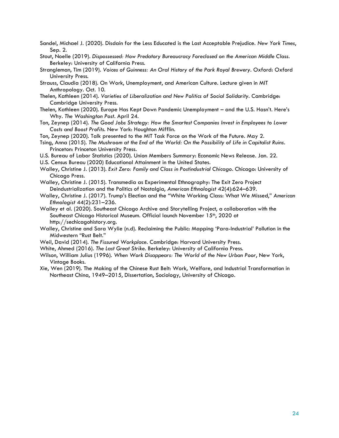Sandel, Michael J. (2020). Disdain for the Less Educated is the Last Acceptable Prejudice. *New York Times*, Sep. 2.

- Stout, Noelle (2019). *Dispossessed: How Predatory Bureaucracy Foreclosed on the American Middle Class*. Berkeley: University of California Press.
- Strangleman, Tim (2019). *Voices of Guinness: An Oral History of the Park Royal Brewery*. Oxford: Oxford University Press.
- Strauss, Claudia (2018). On Work, Unemployment, and American Culture. Lecture given in MIT Anthropology. Oct. 10.
- Thelen, Kathleen (2014). *Varieties of Liberalization and New Politics of Social Solidarity*. Cambridge: Cambridge University Press.
- Thelen, Kathleen (2020). Europe Has Kept Down Pandemic Unemployment and the U.S. Hasn't. Here's Why. *The Washington Post*. April 24.
- Ton, Zeynep (2014). *The Good Jobs Strategy: How the Smartest Companies Invest in Employees to Lower Costs and Boost Profits*. New York: Houghton Mifflin.

Ton, Zeynep (2020). Talk presented to the MIT Task Force on the Work of the Future. May 2.

- Tsing, Anna (2015). *The Mushroom at the End of the World: On the Possibility of Life in Capitalist Ruins*. Princeton: Princeton University Press.
- U.S. Bureau of Labor Statistics (2020). Union Members Summary: Economic News Release. Jan. 22.

U.S. Census Bureau (2020) Educational Attainment in the United States.

- Walley, Christine J. (2013). *Exit Zero: Family and Class in Postindustrial Chicago*. Chicago: University of Chicago Press.
- Walley, Christine J. (2015). Transmedia as Experimental Ethnography: The Exit Zero Project Deindustrialization and the Politics of Nostalgia, *American Ethnologist* 42(4):624–639.
- Walley, Christine J. (2017). Trump's Election and the "White Working Class: What We Missed," *American Ethnologist* 44(2):231–236.
- Walley et al. (2020). Southeast Chicago Archive and Storytelling Project, a collaboration with the Southeast Chicago Historical Museum. Official launch November 15<sup>th</sup>, 2020 at http://sechicagohistory.org.
- Walley, Christine and Sara Wylie (n.d). Reclaiming the Public: Mapping 'Para-Industrial' Pollution in the Midwestern "Rust Belt."
- Weil, David (2014). *The Fissured Workplace*. Cambridge: Harvard University Press.
- White, Ahmed (2016). *The Last Great Strike*. Berkeley: University of California Press.
- Wilson, William Julius (1996). *When Work Disappears: The World of the New Urban Poor*, New York, Vintage Books.
- Xie, Wen (2019). The Making of the Chinese Rust Belt: Work, Welfare, and Industrial Transformation in Northeast China, 1949–2015, Dissertation, Sociology, University of Chicago.